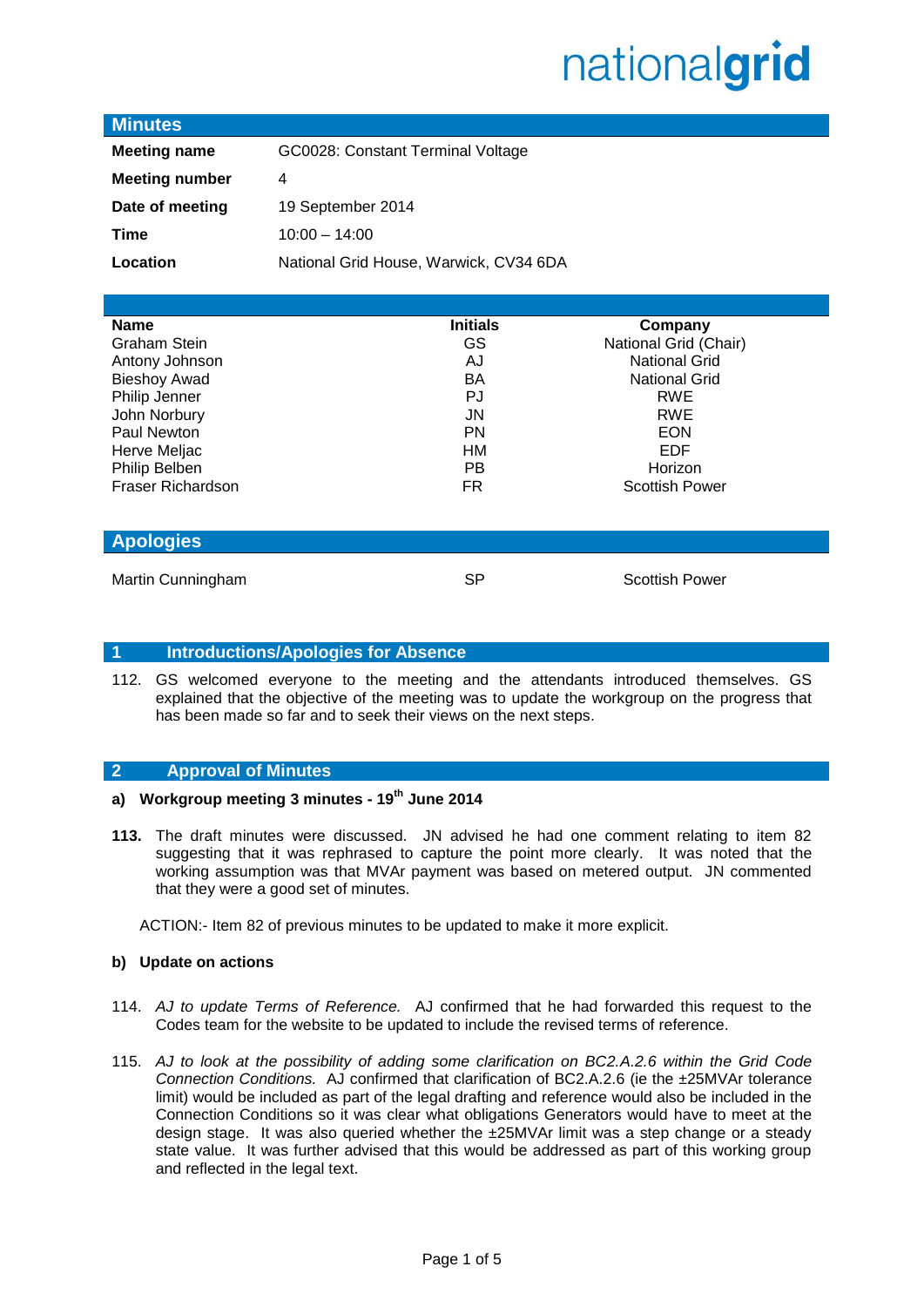### **Minutes**

| <b>Meeting name</b>   | GC0028: Constant Terminal Voltage      |
|-----------------------|----------------------------------------|
| <b>Meeting number</b> | 4                                      |
| Date of meeting       | 19 September 2014                      |
| Time                  | $10:00 - 14:00$                        |
| Location              | National Grid House, Warwick, CV34 6DA |

| <b>Name</b>              | <b>Initials</b> | Company               |
|--------------------------|-----------------|-----------------------|
| Graham Stein             | GS              | National Grid (Chair) |
| Antony Johnson           | AJ              | <b>National Grid</b>  |
| <b>Bieshoy Awad</b>      | BA              | <b>National Grid</b>  |
| Philip Jenner            | PJ              | <b>RWE</b>            |
| John Norbury             | <b>JN</b>       | <b>RWE</b>            |
| Paul Newton              | PN              | <b>EON</b>            |
| Herve Meljac             | HM              | <b>EDF</b>            |
| Philip Belben            | <b>PB</b>       | Horizon               |
| <b>Fraser Richardson</b> | FR.             | <b>Scottish Power</b> |
|                          |                 |                       |
|                          |                 |                       |
| <b>Apologies</b>         |                 |                       |
|                          |                 |                       |
| Martin Cunningham        | SP              | <b>Scottish Power</b> |
|                          |                 |                       |

### **1 Introductions/Apologies for Absence**

112. GS welcomed everyone to the meeting and the attendants introduced themselves. GS explained that the objective of the meeting was to update the workgroup on the progress that has been made so far and to seek their views on the next steps.

### **2 Approval of Minutes**

### **a) Workgroup meeting 3 minutes - 19th June 2014**

**113.** The draft minutes were discussed. JN advised he had one comment relating to item 82 suggesting that it was rephrased to capture the point more clearly. It was noted that the working assumption was that MVAr payment was based on metered output. JN commented that they were a good set of minutes.

ACTION:- Item 82 of previous minutes to be updated to make it more explicit.

### **b) Update on actions**

- 114. *AJ to update Terms of Reference.* AJ confirmed that he had forwarded this request to the Codes team for the website to be updated to include the revised terms of reference.
- 115. *AJ to look at the possibility of adding some clarification on BC2.A.2.6 within the Grid Code Connection Conditions.* AJ confirmed that clarification of BC2.A.2.6 (ie the ±25MVAr tolerance limit) would be included as part of the legal drafting and reference would also be included in the Connection Conditions so it was clear what obligations Generators would have to meet at the design stage. It was also queried whether the ±25MVAr limit was a step change or a steady state value. It was further advised that this would be addressed as part of this working group and reflected in the legal text.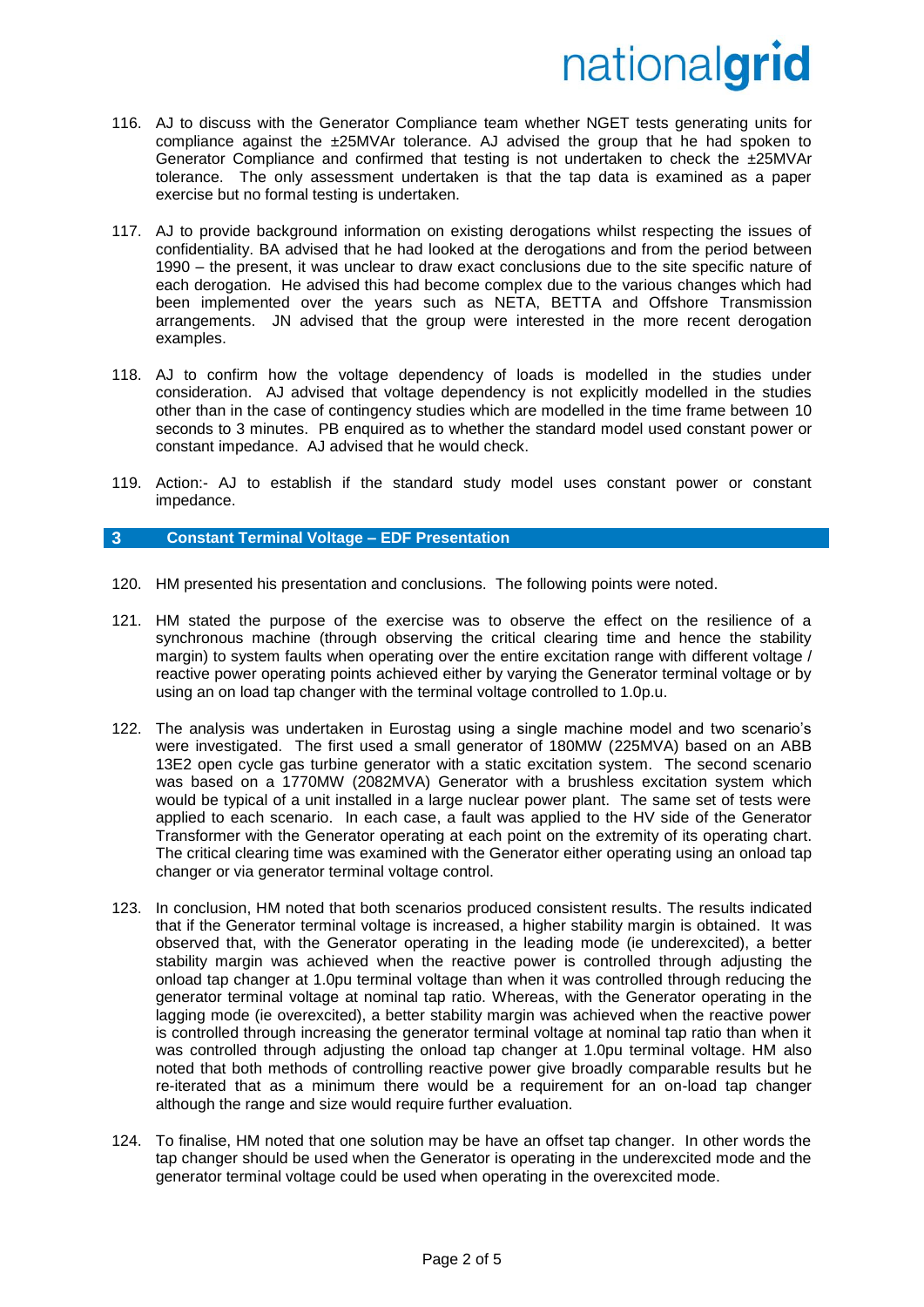- 116. AJ to discuss with the Generator Compliance team whether NGET tests generating units for compliance against the ±25MVAr tolerance. AJ advised the group that he had spoken to Generator Compliance and confirmed that testing is not undertaken to check the ±25MVAr tolerance. The only assessment undertaken is that the tap data is examined as a paper exercise but no formal testing is undertaken.
- 117. AJ to provide background information on existing derogations whilst respecting the issues of confidentiality. BA advised that he had looked at the derogations and from the period between 1990 – the present, it was unclear to draw exact conclusions due to the site specific nature of each derogation. He advised this had become complex due to the various changes which had been implemented over the years such as NETA, BETTA and Offshore Transmission arrangements. JN advised that the group were interested in the more recent derogation examples.
- 118. AJ to confirm how the voltage dependency of loads is modelled in the studies under consideration. AJ advised that voltage dependency is not explicitly modelled in the studies other than in the case of contingency studies which are modelled in the time frame between 10 seconds to 3 minutes. PB enquired as to whether the standard model used constant power or constant impedance. AJ advised that he would check.
- 119. Action:- AJ to establish if the standard study model uses constant power or constant impedance.

### **3 Constant Terminal Voltage – EDF Presentation**

- 120. HM presented his presentation and conclusions. The following points were noted.
- 121. HM stated the purpose of the exercise was to observe the effect on the resilience of a synchronous machine (through observing the critical clearing time and hence the stability margin) to system faults when operating over the entire excitation range with different voltage / reactive power operating points achieved either by varying the Generator terminal voltage or by using an on load tap changer with the terminal voltage controlled to 1.0p.u.
- 122. The analysis was undertaken in Eurostag using a single machine model and two scenario's were investigated. The first used a small generator of 180MW (225MVA) based on an ABB 13E2 open cycle gas turbine generator with a static excitation system. The second scenario was based on a 1770MW (2082MVA) Generator with a brushless excitation system which would be typical of a unit installed in a large nuclear power plant. The same set of tests were applied to each scenario. In each case, a fault was applied to the HV side of the Generator Transformer with the Generator operating at each point on the extremity of its operating chart. The critical clearing time was examined with the Generator either operating using an onload tap changer or via generator terminal voltage control.
- 123. In conclusion, HM noted that both scenarios produced consistent results. The results indicated that if the Generator terminal voltage is increased, a higher stability margin is obtained. It was observed that, with the Generator operating in the leading mode (ie underexcited), a better stability margin was achieved when the reactive power is controlled through adjusting the onload tap changer at 1.0pu terminal voltage than when it was controlled through reducing the generator terminal voltage at nominal tap ratio. Whereas, with the Generator operating in the lagging mode (ie overexcited), a better stability margin was achieved when the reactive power is controlled through increasing the generator terminal voltage at nominal tap ratio than when it was controlled through adjusting the onload tap changer at 1.0pu terminal voltage. HM also noted that both methods of controlling reactive power give broadly comparable results but he re-iterated that as a minimum there would be a requirement for an on-load tap changer although the range and size would require further evaluation.
- 124. To finalise, HM noted that one solution may be have an offset tap changer. In other words the tap changer should be used when the Generator is operating in the underexcited mode and the generator terminal voltage could be used when operating in the overexcited mode.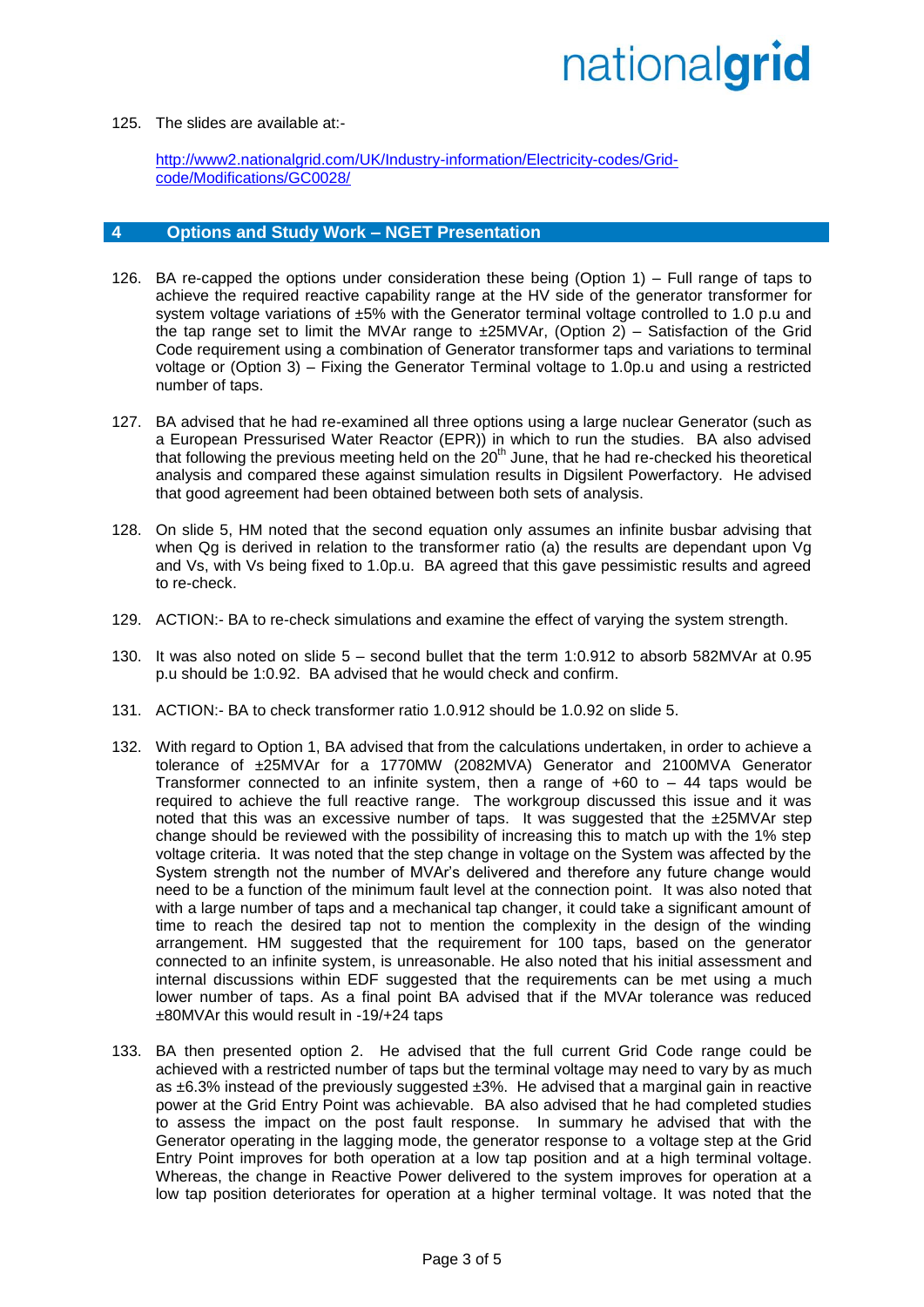#### 125. The slides are available at:-

[http://www2.nationalgrid.com/UK/Industry-information/Electricity-codes/Grid](http://www2.nationalgrid.com/UK/Industry-information/Electricity-codes/Grid-code/Modifications/GC0028/)[code/Modifications/GC0028/](http://www2.nationalgrid.com/UK/Industry-information/Electricity-codes/Grid-code/Modifications/GC0028/)

### **4 Options and Study Work – NGET Presentation**

- 126. BA re-capped the options under consideration these being (Option 1) Full range of taps to achieve the required reactive capability range at the HV side of the generator transformer for system voltage variations of  $\pm 5\%$  with the Generator terminal voltage controlled to 1.0 p.u and the tap range set to limit the MVAr range to  $\pm 25$ MVAr, (Option 2) – Satisfaction of the Grid Code requirement using a combination of Generator transformer taps and variations to terminal voltage or (Option 3) – Fixing the Generator Terminal voltage to 1.0p.u and using a restricted number of taps.
- 127. BA advised that he had re-examined all three options using a large nuclear Generator (such as a European Pressurised Water Reactor (EPR)) in which to run the studies. BA also advised that following the previous meeting held on the  $20<sup>th</sup>$  June, that he had re-checked his theoretical analysis and compared these against simulation results in Digsilent Powerfactory. He advised that good agreement had been obtained between both sets of analysis.
- 128. On slide 5, HM noted that the second equation only assumes an infinite busbar advising that when Qg is derived in relation to the transformer ratio (a) the results are dependant upon Vg and Vs, with Vs being fixed to 1.0p.u. BA agreed that this gave pessimistic results and agreed to re-check.
- 129. ACTION:- BA to re-check simulations and examine the effect of varying the system strength.
- 130. It was also noted on slide 5 second bullet that the term 1:0.912 to absorb 582MVAr at 0.95 p.u should be 1:0.92. BA advised that he would check and confirm.
- 131. ACTION:- BA to check transformer ratio 1.0.912 should be 1.0.92 on slide 5.
- 132. With regard to Option 1, BA advised that from the calculations undertaken, in order to achieve a tolerance of ±25MVAr for a 1770MW (2082MVA) Generator and 2100MVA Generator Transformer connected to an infinite system, then a range of  $+60$  to  $-44$  taps would be required to achieve the full reactive range. The workgroup discussed this issue and it was noted that this was an excessive number of taps. It was suggested that the  $\pm$ 25MVAr step change should be reviewed with the possibility of increasing this to match up with the 1% step voltage criteria. It was noted that the step change in voltage on the System was affected by the System strength not the number of MVAr's delivered and therefore any future change would need to be a function of the minimum fault level at the connection point. It was also noted that with a large number of taps and a mechanical tap changer, it could take a significant amount of time to reach the desired tap not to mention the complexity in the design of the winding arrangement. HM suggested that the requirement for 100 taps, based on the generator connected to an infinite system, is unreasonable. He also noted that his initial assessment and internal discussions within EDF suggested that the requirements can be met using a much lower number of taps. As a final point BA advised that if the MVAr tolerance was reduced ±80MVAr this would result in -19/+24 taps
- 133. BA then presented option 2. He advised that the full current Grid Code range could be achieved with a restricted number of taps but the terminal voltage may need to vary by as much as  $\pm 6.3\%$  instead of the previously suggested  $\pm 3\%$ . He advised that a marginal gain in reactive power at the Grid Entry Point was achievable. BA also advised that he had completed studies to assess the impact on the post fault response. In summary he advised that with the Generator operating in the lagging mode, the generator response to a voltage step at the Grid Entry Point improves for both operation at a low tap position and at a high terminal voltage. Whereas, the change in Reactive Power delivered to the system improves for operation at a low tap position deteriorates for operation at a higher terminal voltage. It was noted that the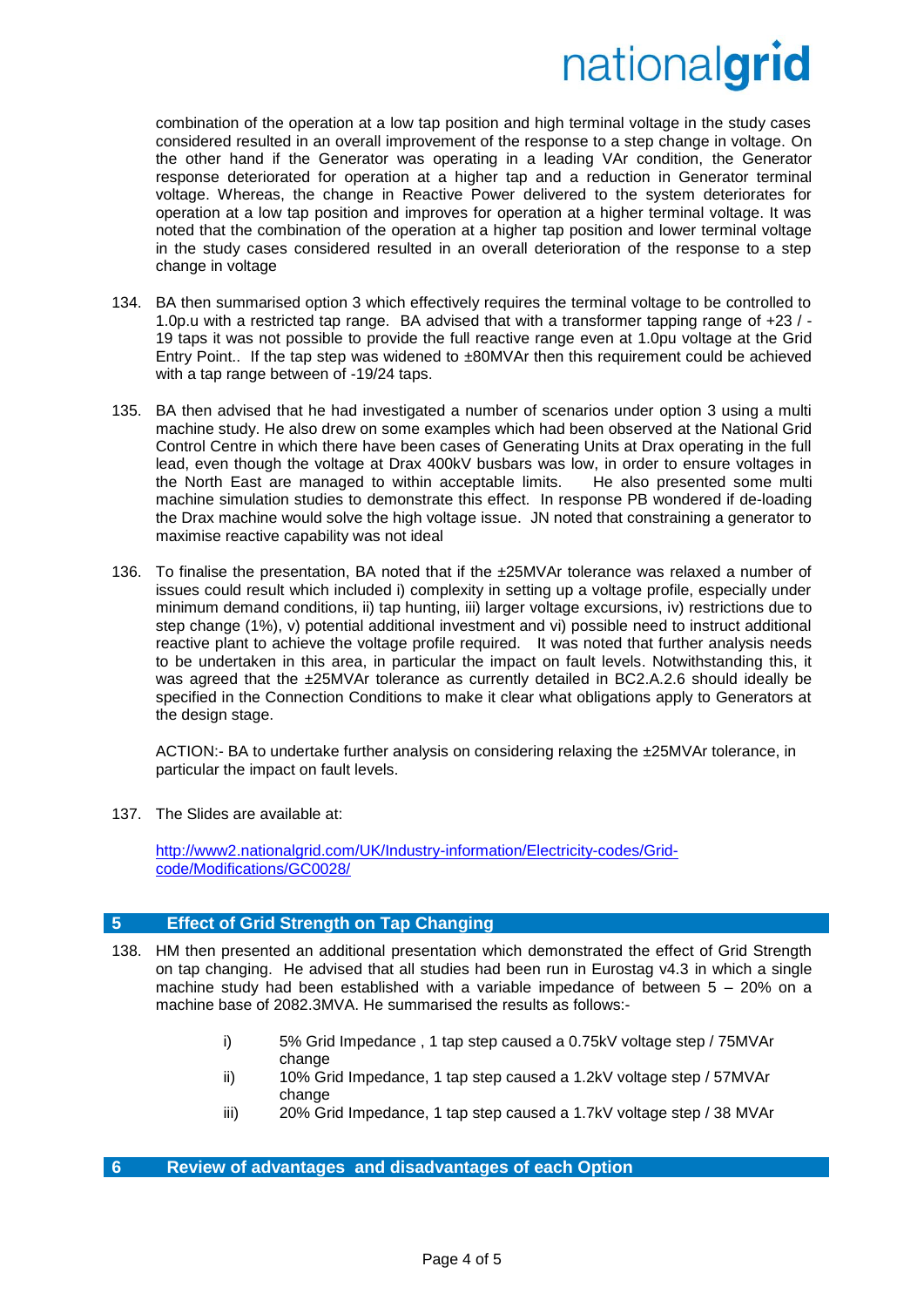combination of the operation at a low tap position and high terminal voltage in the study cases considered resulted in an overall improvement of the response to a step change in voltage. On the other hand if the Generator was operating in a leading VAr condition, the Generator response deteriorated for operation at a higher tap and a reduction in Generator terminal voltage. Whereas, the change in Reactive Power delivered to the system deteriorates for operation at a low tap position and improves for operation at a higher terminal voltage. It was noted that the combination of the operation at a higher tap position and lower terminal voltage in the study cases considered resulted in an overall deterioration of the response to a step change in voltage

- 134. BA then summarised option 3 which effectively requires the terminal voltage to be controlled to 1.0p.u with a restricted tap range. BA advised that with a transformer tapping range of +23 / - 19 taps it was not possible to provide the full reactive range even at 1.0pu voltage at the Grid Entry Point.. If the tap step was widened to ±80MVAr then this requirement could be achieved with a tap range between of -19/24 taps.
- 135. BA then advised that he had investigated a number of scenarios under option 3 using a multi machine study. He also drew on some examples which had been observed at the National Grid Control Centre in which there have been cases of Generating Units at Drax operating in the full lead, even though the voltage at Drax 400kV busbars was low, in order to ensure voltages in the North East are managed to within acceptable limits. He also presented some multi machine simulation studies to demonstrate this effect. In response PB wondered if de-loading the Drax machine would solve the high voltage issue. JN noted that constraining a generator to maximise reactive capability was not ideal
- 136. To finalise the presentation, BA noted that if the ±25MVAr tolerance was relaxed a number of issues could result which included i) complexity in setting up a voltage profile, especially under minimum demand conditions, ii) tap hunting, iii) larger voltage excursions, iv) restrictions due to step change (1%), v) potential additional investment and vi) possible need to instruct additional reactive plant to achieve the voltage profile required. It was noted that further analysis needs to be undertaken in this area, in particular the impact on fault levels. Notwithstanding this, it was agreed that the ±25MVAr tolerance as currently detailed in BC2.A.2.6 should ideally be specified in the Connection Conditions to make it clear what obligations apply to Generators at the design stage.

ACTION:- BA to undertake further analysis on considering relaxing the ±25MVAr tolerance, in particular the impact on fault levels.

137. The Slides are available at:

[http://www2.nationalgrid.com/UK/Industry-information/Electricity-codes/Grid](http://www2.nationalgrid.com/UK/Industry-information/Electricity-codes/Grid-code/Modifications/GC0028/)[code/Modifications/GC0028/](http://www2.nationalgrid.com/UK/Industry-information/Electricity-codes/Grid-code/Modifications/GC0028/)

### **5 Effect of Grid Strength on Tap Changing**

- 138. HM then presented an additional presentation which demonstrated the effect of Grid Strength on tap changing. He advised that all studies had been run in Eurostag v4.3 in which a single machine study had been established with a variable impedance of between 5 – 20% on a machine base of 2082.3MVA. He summarised the results as follows:
	- i) 5% Grid Impedance , 1 tap step caused a 0.75kV voltage step / 75MVAr change
	- ii) 10% Grid Impedance, 1 tap step caused a 1.2kV voltage step / 57MVAr change
	- iii) 20% Grid Impedance, 1 tap step caused a 1.7kV voltage step / 38 MVAr